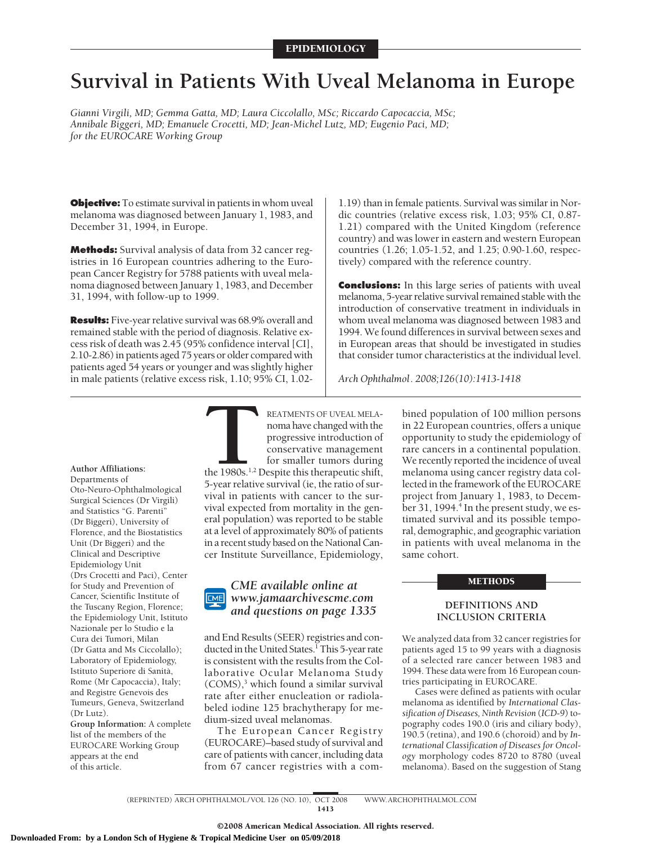# **Survival in Patients With Uveal Melanoma in Europe**

*Gianni Virgili, MD; Gemma Gatta, MD; Laura Ciccolallo, MSc; Riccardo Capocaccia, MSc; Annibale Biggeri, MD; Emanuele Crocetti, MD; Jean-Michel Lutz, MD; Eugenio Paci, MD; for the EUROCARE Working Group*

**Objective:** To estimate survival in patients in whom uveal melanoma was diagnosed between January 1, 1983, and December 31, 1994, in Europe.

**Methods:** Survival analysis of data from 32 cancer registries in 16 European countries adhering to the European Cancer Registry for 5788 patients with uveal melanoma diagnosed between January 1, 1983, and December 31, 1994, with follow-up to 1999.

**Results:** Five-year relative survival was 68.9% overall and remained stable with the period of diagnosis. Relative excess risk of death was 2.45 (95% confidence interval [CI], 2.10-2.86) in patients aged 75 years or older compared with patients aged 54 years or younger and was slightly higher in male patients (relative excess risk, 1.10; 95% CI, 1.02-

1.19) than in female patients. Survival was similar in Nordic countries (relative excess risk, 1.03; 95% CI, 0.87- 1.21) compared with the United Kingdom (reference country) and was lower in eastern and western European countries (1.26; 1.05-1.52, and 1.25; 0.90-1.60, respectively) compared with the reference country.

**Conclusions:** In this large series of patients with uveal melanoma, 5-year relative survival remained stable with the introduction of conservative treatment in individuals in whom uveal melanoma was diagnosed between 1983 and 1994. We found differences in survival between sexes and in European areas that should be investigated in studies that consider tumor characteristics at the individual level.

*Arch Ophthalmol. 2008;126(10):1413-1418*

**Author Affiliations:**

Departments of Oto-Neuro-Ophthalmological Surgical Sciences (Dr Virgili) and Statistics "G. Parenti" (Dr Biggeri), University of Florence, and the Biostatistics Unit (Dr Biggeri) and the Clinical and Descriptive Epidemiology Unit (Drs Crocetti and Paci), Center for Study and Prevention of Cancer, Scientific Institute of the Tuscany Region, Florence; the Epidemiology Unit, Istituto Nazionale per lo Studio e la Cura dei Tumori, Milan (Dr Gatta and Ms Ciccolallo); Laboratory of Epidemiology, Istituto Superiore di Sanità, Rome (Mr Capocaccia), Italy; and Registre Genevois des Tumeurs, Geneva, Switzerland  $(Dr I<sub>11</sub>t<sub>7</sub>)$ .

**Group Information:** A complete list of the members of the EUROCARE Working Group appears at the end of this article.

**THEATMENTS OF UVEAL MELA-**<br>
noma have changed with the<br>
progressive introduction of<br>
conservative management<br>
for smaller tumors during<br>
the 1980s.<sup>1.2</sup> Despite this therapeutic shift,<br>
5-vear relative survival (ie, the r noma have changed with the progressive introduction of conservative management for smaller tumors during the 1980s.<sup>1,2</sup> Despite this therapeutic shift,

5-year relative survival (ie, the ratio of survival in patients with cancer to the survival expected from mortality in the general population) was reported to be stable at a level of approximately 80% of patients in a recent study based on the National Cancer Institute Surveillance, Epidemiology,

#### *CME available online at* **CME** *www.jamaarchivescme.com and questions on page 1335*

and End Results (SEER) registries and conducted in the United States.<sup>1</sup> This 5-year rate is consistent with the results from the Collaborative Ocular Melanoma Study  $(COMS)<sup>3</sup>$  which found a similar survival rate after either enucleation or radiolabeled iodine 125 brachytherapy for medium-sized uveal melanomas.

The European Cancer Registry (EUROCARE)–based study of survival and care of patients with cancer, including data from 67 cancer registries with a combined population of 100 million persons in 22 European countries, offers a unique opportunity to study the epidemiology of rare cancers in a continental population. We recently reported the incidence of uveal melanoma using cancer registry data collected in the framework of the EUROCARE project from January 1, 1983, to December 31, 1994.<sup>4</sup> In the present study, we estimated survival and its possible temporal, demographic, and geographic variation in patients with uveal melanoma in the same cohort.

## METHODS

## **DEFINITIONS AND INCLUSION CRITERIA**

We analyzed data from 32 cancer registries for patients aged 15 to 99 years with a diagnosis of a selected rare cancer between 1983 and 1994. These data were from 16 European countries participating in EUROCARE.

Cases were defined as patients with ocular melanoma as identified by *International Classification of Diseases, Ninth Revision* (*ICD-9*) topography codes 190.0 (iris and ciliary body), 190.5 (retina), and 190.6 (choroid) and by *International Classification of Diseases for Oncology* morphology codes 8720 to 8780 (uveal melanoma). Based on the suggestion of Stang

(REPRINTED) ARCH OPHTHALMOL / VOL 126 (NO. 10), OCT 2008 WWW.ARCHOPHTHALMOL.COM 1413

©2008 American Medical Association. All rights reserved.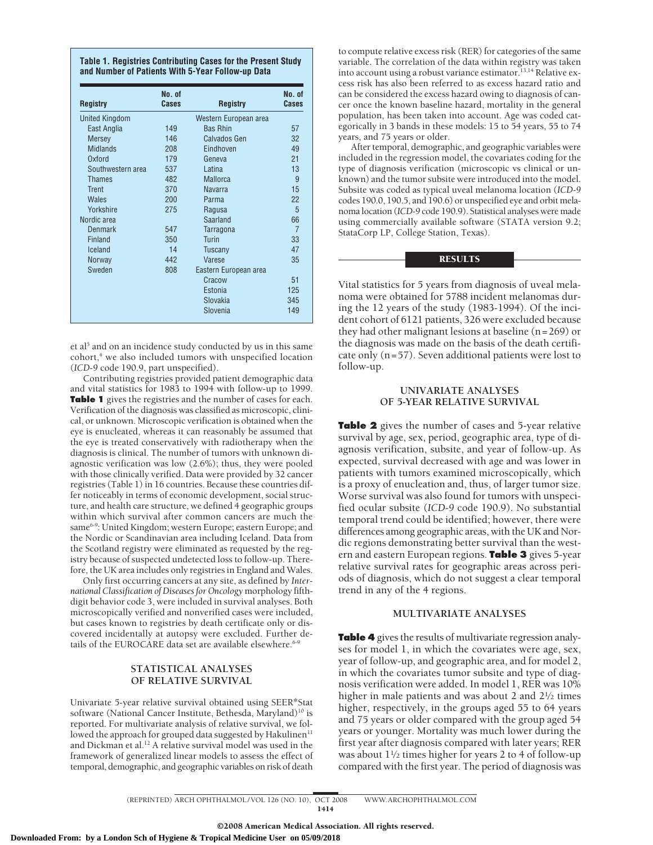| <b>Registry</b>       | No. of<br>Cases | <b>Registry</b>       | No. of<br><b>Cases</b> |
|-----------------------|-----------------|-----------------------|------------------------|
| <b>United Kingdom</b> |                 | Western European area |                        |
| East Anglia           | 149             | <b>Bas Rhin</b>       | 57                     |
| <b>Mersey</b>         | 146             | Calvados Gen          | 32                     |
| <b>Midlands</b>       | 208             | Eindhoven             | 49                     |
| Oxford                | 179             | Geneva                | 21                     |
| Southwestern area     | 537             | Latina                | 13                     |
| <b>Thames</b>         | 482             | <b>Mallorca</b>       | 9                      |
| Trent                 | 370             | <b>Navarra</b>        | 15                     |
| <b>Wales</b>          | 200             | Parma                 | 22                     |
| Yorkshire             | 275             | Ragusa                | 5                      |
| Nordic area           |                 | Saarland              | 66                     |
| Denmark               | 547             | Tarragona             | $\overline{7}$         |
| Finland               | 350             | Turin                 | 33                     |
| Iceland               | 14              | Tuscany               | 47                     |
| Norway                | 442             | Varese                | 35                     |
| Sweden                | 808             | Eastern European area |                        |
|                       |                 | Cracow                | 51                     |
|                       |                 | Estonia               | 125                    |
|                       |                 | Slovakia              | 345                    |
|                       |                 | Slovenia              | 149                    |

et al<sup>5</sup> and on an incidence study conducted by us in this same cohort,<sup>4</sup> we also included tumors with unspecified location (*ICD-9* code 190.9, part unspecified).

Contributing registries provided patient demographic data and vital statistics for 1983 to 1994 with follow-up to 1999. **Table 1** gives the registries and the number of cases for each. Verification of the diagnosis was classified as microscopic, clinical, or unknown. Microscopic verification is obtained when the eye is enucleated, whereas it can reasonably be assumed that the eye is treated conservatively with radiotherapy when the diagnosis is clinical. The number of tumors with unknown diagnostic verification was low (2.6%); thus, they were pooled with those clinically verified. Data were provided by 32 cancer registries (Table 1) in 16 countries. Because these countries differ noticeably in terms of economic development, social structure, and health care structure, we defined 4 geographic groups within which survival after common cancers are much the same<sup>6-9</sup>: United Kingdom; western Europe; eastern Europe; and the Nordic or Scandinavian area including Iceland. Data from the Scotland registry were eliminated as requested by the registry because of suspected undetected loss to follow-up. Therefore, the UK area includes only registries in England and Wales.

Only first occurring cancers at any site, as defined by *International Classification of Diseases for Oncology* morphology fifthdigit behavior code 3, were included in survival analyses. Both microscopically verified and nonverified cases were included, but cases known to registries by death certificate only or discovered incidentally at autopsy were excluded. Further details of the EUROCARE data set are available elsewhere.<sup>6-9</sup>

# **STATISTICAL ANALYSES OF RELATIVE SURVIVAL**

Univariate 5-year relative survival obtained using SEER\*Stat software (National Cancer Institute, Bethesda, Maryland)<sup>10</sup> is reported. For multivariate analysis of relative survival, we followed the approach for grouped data suggested by Hakulinen $11$ and Dickman et al.<sup>12</sup> A relative survival model was used in the framework of generalized linear models to assess the effect of temporal, demographic, and geographic variables on risk of death

to compute relative excess risk (RER) for categories of the same variable. The correlation of the data within registry was taken into account using a robust variance estimator.<sup>13,14</sup> Relative excess risk has also been referred to as excess hazard ratio and can be considered the excess hazard owing to diagnosis of cancer once the known baseline hazard, mortality in the general population, has been taken into account. Age was coded categorically in 3 bands in these models: 15 to 54 years, 55 to 74 years, and 75 years or older.

After temporal, demographic, and geographic variables were included in the regression model, the covariates coding for the type of diagnosis verification (microscopic vs clinical or unknown) and the tumor subsite were introduced into the model. Subsite was coded as typical uveal melanoma location (*ICD-9* codes 190.0, 190.5, and 190.6) or unspecified eye and orbit melanoma location (*ICD-9* code 190.9). Statistical analyses were made using commercially available software (STATA version 9.2; StataCorp LP, College Station, Texas).

## **RESULTS**

Vital statistics for 5 years from diagnosis of uveal melanoma were obtained for 5788 incident melanomas during the 12 years of the study (1983-1994). Of the incident cohort of 6121 patients, 326 were excluded because they had other malignant lesions at baseline (n=269) or the diagnosis was made on the basis of the death certificate only (n=57). Seven additional patients were lost to follow-up.

# **UNIVARIATE ANALYSES OF 5-YEAR RELATIVE SURVIVAL**

**Table 2** gives the number of cases and 5-year relative survival by age, sex, period, geographic area, type of diagnosis verification, subsite, and year of follow-up. As expected, survival decreased with age and was lower in patients with tumors examined microscopically, which is a proxy of enucleation and, thus, of larger tumor size. Worse survival was also found for tumors with unspecified ocular subsite (*ICD-9* code 190.9). No substantial temporal trend could be identified; however, there were differences among geographic areas, with the UK and Nordic regions demonstrating better survival than the western and eastern European regions. **Table 3** gives 5-year relative survival rates for geographic areas across periods of diagnosis, which do not suggest a clear temporal trend in any of the 4 regions.

## **MULTIVARIATE ANALYSES**

**Table 4** gives the results of multivariate regression analyses for model 1, in which the covariates were age, sex, year of follow-up, and geographic area, and for model 2, in which the covariates tumor subsite and type of diagnosis verification were added. In model 1, RER was 10% higher in male patients and was about 2 and  $2\frac{1}{2}$  times higher, respectively, in the groups aged 55 to 64 years and 75 years or older compared with the group aged 54 years or younger. Mortality was much lower during the first year after diagnosis compared with later years; RER was about  $1\frac{1}{2}$  times higher for years 2 to 4 of follow-up compared with the first year. The period of diagnosis was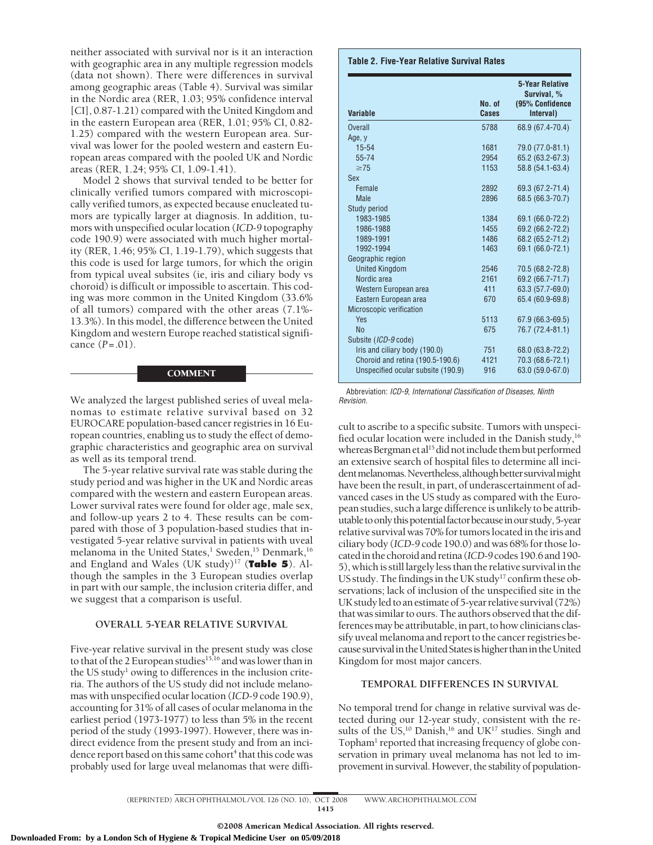neither associated with survival nor is it an interaction with geographic area in any multiple regression models (data not shown). There were differences in survival among geographic areas (Table 4). Survival was similar in the Nordic area (RER, 1.03; 95% confidence interval [CI], 0.87-1.21) compared with the United Kingdom and in the eastern European area (RER, 1.01; 95% CI, 0.82- 1.25) compared with the western European area. Survival was lower for the pooled western and eastern European areas compared with the pooled UK and Nordic areas (RER, 1.24; 95% CI, 1.09-1.41).

Model 2 shows that survival tended to be better for clinically verified tumors compared with microscopically verified tumors, as expected because enucleated tumors are typically larger at diagnosis. In addition, tumors with unspecified ocular location (*ICD-9* topography code 190.9) were associated with much higher mortality (RER, 1.46; 95% CI, 1.19-1.79), which suggests that this code is used for large tumors, for which the origin from typical uveal subsites (ie, iris and ciliary body vs choroid) is difficult or impossible to ascertain. This coding was more common in the United Kingdom (33.6% of all tumors) compared with the other areas (7.1%- 13.3%). In this model, the difference between the United Kingdom and western Europe reached statistical significance (*P*=.01).

#### COMMENT

We analyzed the largest published series of uveal melanomas to estimate relative survival based on 32 EUROCARE population-based cancer registries in 16 European countries, enabling us to study the effect of demographic characteristics and geographic area on survival as well as its temporal trend.

The 5-year relative survival rate was stable during the study period and was higher in the UK and Nordic areas compared with the western and eastern European areas. Lower survival rates were found for older age, male sex, and follow-up years 2 to 4. These results can be compared with those of 3 population-based studies that investigated 5-year relative survival in patients with uveal melanoma in the United States,<sup>1</sup> Sweden,<sup>15</sup> Denmark,<sup>16</sup> and England and Wales (UK study)17 (**Table 5**). Although the samples in the 3 European studies overlap in part with our sample, the inclusion criteria differ, and we suggest that a comparison is useful.

## **OVERALL 5-YEAR RELATIVE SURVIVAL**

Five-year relative survival in the present study was close to that of the 2 European studies<sup>15,16</sup> and was lower than in the US study $<sup>1</sup>$  owing to differences in the inclusion crite-</sup> ria. The authors of the US study did not include melanomas with unspecified ocular location (*ICD-9* code 190.9), accounting for 31% of all cases of ocular melanoma in the earliest period (1973-1977) to less than 5% in the recent period of the study (1993-1997). However, there was indirect evidence from the present study and from an incidence report based on this same cohort<sup>4</sup> that this code was probably used for large uveal melanomas that were diffi-

#### **Table 2. Five-Year Relative Survival Rates**

| <b>Variable</b>                    | No. of<br>Cases | 5-Year Relative<br>Survival. %<br>(95% Confidence<br>Interval) |
|------------------------------------|-----------------|----------------------------------------------------------------|
| Overall                            | 5788            | 68.9 (67.4-70.4)                                               |
| Age, y                             |                 |                                                                |
| $15 - 54$                          | 1681            | 79.0 (77.0-81.1)                                               |
| 55-74                              | 2954            | 65.2 (63.2-67.3)                                               |
| $\geq$ 75                          | 1153            | 58.8 (54.1-63.4)                                               |
| Sex                                |                 |                                                                |
| Female                             | 2892            | 69.3 (67.2-71.4)                                               |
| <b>Male</b>                        | 2896            | 68.5 (66.3-70.7)                                               |
| Study period                       |                 |                                                                |
| 1983-1985                          | 1384            | 69.1 (66.0-72.2)                                               |
| 1986-1988                          | 1455            | 69.2 (66.2-72.2)                                               |
| 1989-1991                          | 1486            | 68.2 (65.2-71.2)                                               |
| 1992-1994                          | 1463            | 69.1 (66.0-72.1)                                               |
| Geographic region                  |                 |                                                                |
| <b>United Kingdom</b>              | 2546            | 70.5 (68.2-72.8)                                               |
| Nordic area                        | 2161            | 69.2 (66.7-71.7)                                               |
| Western European area              | 411             | 63.3 (57.7-69.0)                                               |
| Eastern European area              | 670             | 65.4 (60.9-69.8)                                               |
| Microscopic verification           |                 |                                                                |
| Yes                                | 5113            | 67.9 (66.3-69.5)                                               |
| <b>No</b>                          | 675             | 76.7 (72.4-81.1)                                               |
| Subsite (ICD-9 code)               |                 |                                                                |
| Iris and ciliary body (190.0)      | 751             | 68.0 (63.8-72.2)                                               |
| Choroid and retina (190.5-190.6)   | 4121            | 70.3 (68.6-72.1)                                               |
| Unspecified ocular subsite (190.9) | 916             | 63.0 (59.0-67.0)                                               |

Abbreviation: *ICD-9*, *International Classification of Diseases, Ninth Revision*.

cult to ascribe to a specific subsite. Tumors with unspecified ocular location were included in the Danish study,<sup>16</sup> whereas Bergman et al<sup>15</sup> did not include them but performed an extensive search of hospital files to determine all incident melanomas. Nevertheless, although better survival might have been the result, in part, of underascertainment of advanced cases in the US study as compared with the European studies, such a large difference is unlikely to be attributable to only this potential factor because in our study, 5-year relative survival was 70% for tumors located in the iris and ciliary body (*ICD-9* code 190.0) and was 68% for those locatedinthechoroidandretina(*ICD-9*codes190.6and190- 5), which is still largely less than the relative survival in the US study. The findings in the UK study<sup>17</sup> confirm these observations; lack of inclusion of the unspecified site in the UK study led to an estimate of 5-year relative survival  $(72%)$ that was similar to ours. The authors observed that the differences may be attributable, in part, to how clinicians classify uveal melanoma and report to the cancer registries because survival in the United States is higher than in the United Kingdom for most major cancers.

#### **TEMPORAL DIFFERENCES IN SURVIVAL**

No temporal trend for change in relative survival was detected during our 12-year study, consistent with the results of the US,<sup>10</sup> Danish,<sup>16</sup> and UK<sup>17</sup> studies. Singh and Topham<sup>1</sup> reported that increasing frequency of globe conservation in primary uveal melanoma has not led to improvement in survival. However, the stability of population-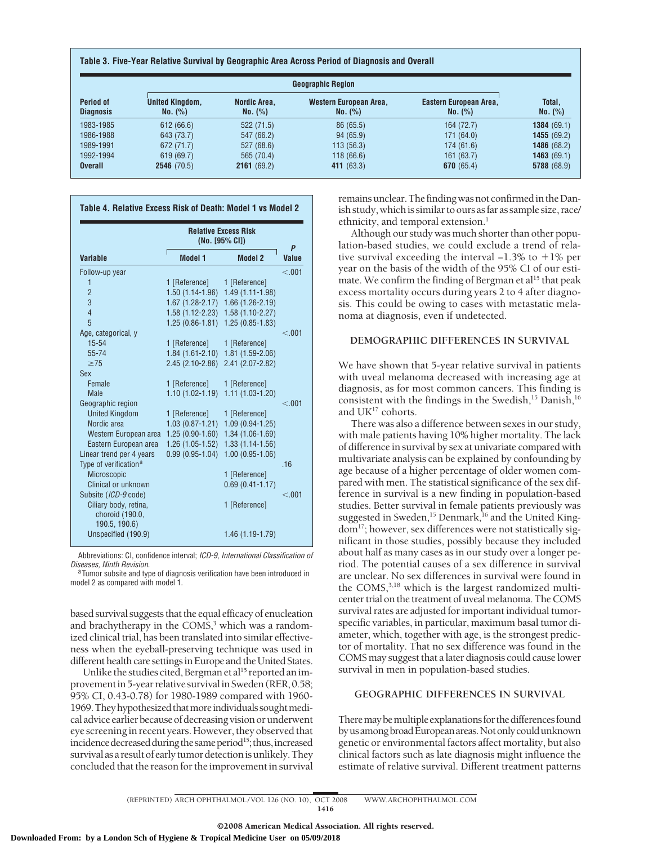|  |  | Table 3. Five-Year Relative Survival by Geographic Area Across Period of Diagnosis and Overall |  |
|--|--|------------------------------------------------------------------------------------------------|--|
|--|--|------------------------------------------------------------------------------------------------|--|

| <b>Geographic Region</b>             |                                   |                         |                                   |                                   |                    |
|--------------------------------------|-----------------------------------|-------------------------|-----------------------------------|-----------------------------------|--------------------|
| <b>Period of</b><br><b>Diagnosis</b> | <b>United Kingdom,</b><br>No. (%) | Nordic Area.<br>No. (%) | Western European Area,<br>No. (%) | Eastern European Area,<br>No. (%) | Total,<br>No. (%)  |
| 1983-1985                            | 612(66.6)                         | 522(71.5)               | 86 (65.5)                         | 164 (72.7)                        | 1384(69.1)         |
| 1986-1988                            | 643 (73.7)                        | 547 (66.2)              | 94(65.9)                          | 171(64.0)                         | 1455(69.2)         |
| 1989-1991                            | 672 (71.7)                        | 527(68.6)               | 113(56.3)                         | 174(61.6)                         | 1486(68.2)         |
| 1992-1994                            | 619(69.7)                         | 565 (70.4)              | 118(66.6)                         | 161(63.7)                         | <b>1463</b> (69.1) |
| <b>Overall</b>                       | 2546(70.5)                        | 2161(69.2)              | 411 (63.3)                        | 670 $(65.4)$                      | 5788 (68.9)        |

|                                                           | <b>Relative Excess Risk</b><br>$(No. [95\% CI])$ |                     |            |  |
|-----------------------------------------------------------|--------------------------------------------------|---------------------|------------|--|
| Variable                                                  | <b>Model 1</b>                                   | Model 2             | P<br>Value |  |
| Follow-up year                                            |                                                  |                     | < 0.01     |  |
| 1                                                         | 1 [Reference]                                    | 1 [Reference]       |            |  |
| $\overline{2}$                                            | $1.50(1.14-1.96)$                                | 1.49 (1.11-1.98)    |            |  |
| 3                                                         | $1.67(1.28-2.17)$                                | $1.66(1.26-2.19)$   |            |  |
| 4                                                         | $1.58(1.12 - 2.23)$                              | $1.58(1.10-2.27)$   |            |  |
| 5                                                         | $1.25(0.86 - 1.81)$                              | $1.25(0.85 - 1.83)$ |            |  |
| Age, categorical, y                                       |                                                  |                     | < 0.01     |  |
| $15 - 54$                                                 | 1 [Reference]                                    | 1 [Reference]       |            |  |
| 55-74                                                     | $1.84(1.61-2.10)$                                | 1.81 (1.59-2.06)    |            |  |
| $\geq$ 75                                                 | $2.45(2.10-2.86)$                                | 2.41 (2.07-2.82)    |            |  |
| <b>Sex</b>                                                |                                                  |                     |            |  |
| Female                                                    | 1 [Reference]                                    | 1 [Reference]       |            |  |
| Male                                                      | $1.10(1.02 - 1.19)$                              | $1.11(1.03-1.20)$   |            |  |
| Geographic region                                         |                                                  |                     | < 0.01     |  |
| <b>United Kingdom</b>                                     | 1 [Reference]                                    | 1 [Reference]       |            |  |
| Nordic area                                               | $1.03(0.87 - 1.21)$                              | $1.09(0.94-1.25)$   |            |  |
| Western European area                                     | $1.25(0.90-1.60)$                                | 1.34 (1.06-1.69)    |            |  |
| Eastern European area                                     | $1.26(1.05-1.52)$                                | $1.33(1.14-1.56)$   |            |  |
| Linear trend per 4 years                                  | $0.99(0.95-1.04)$                                | $1.00(0.95-1.06)$   |            |  |
| Type of verification <sup>a</sup>                         |                                                  |                     | 16         |  |
| <b>Microscopic</b>                                        |                                                  | 1 [Reference]       |            |  |
| Clinical or unknown                                       |                                                  | $0.69(0.41 - 1.17)$ |            |  |
| Subsite (ICD-9 code)                                      |                                                  |                     | < 0.01     |  |
| Ciliary body, retina,<br>choroid (190.0,<br>190.5, 190.6) |                                                  | 1 [Reference]       |            |  |
| Unspecified (190.9)                                       |                                                  | 1.46 (1.19-1.79)    |            |  |

Abbreviations: CI, confidence interval; *ICD-9*, *International Classification of*

<sup>a</sup>Tumor subsite and type of diagnosis verification have been introduced in model 2 as compared with model 1.

based survival suggests that the equal efficacy of enucleation and brachytherapy in the COMS,<sup>3</sup> which was a randomized clinical trial, has been translated into similar effectiveness when the eyeball-preserving technique was used in different health care settings in Europe and the United States.

Unlike the studies cited, Bergman et al<sup>15</sup> reported an improvement in 5-year relative survival in Sweden (RER, 0.58; 95% CI, 0.43-0.78) for 1980-1989 compared with 1960- 1969. They hypothesized that more individuals sought medical advice earlier because of decreasing vision or underwent eye screening in recent years. However, they observed that incidence decreased during the same period<sup>15</sup>; thus, increased survival as a result of early tumor detection is unlikely. They concluded that the reason for the improvement in survival remains unclear. The finding was not confirmed in the Danish study, which is similar to ours as far as sample size, race/ ethnicity, and temporal extension. $<sup>1</sup>$ </sup>

Although our study was much shorter than other population-based studies, we could exclude a trend of relative survival exceeding the interval  $-1.3\%$  to  $+1\%$  per year on the basis of the width of the 95% CI of our estimate. We confirm the finding of Bergman et al<sup>15</sup> that peak excess mortality occurs during years 2 to 4 after diagnosis. This could be owing to cases with metastatic melanoma at diagnosis, even if undetected.

## **DEMOGRAPHIC DIFFERENCES IN SURVIVAL**

We have shown that 5-year relative survival in patients with uveal melanoma decreased with increasing age at diagnosis, as for most common cancers. This finding is consistent with the findings in the Swedish, $15$  Danish, $16$ and UK<sup>17</sup> cohorts.

There was also a difference between sexes in our study, with male patients having 10% higher mortality. The lack of difference in survival by sex at univariate compared with multivariate analysis can be explained by confounding by age because of a higher percentage of older women compared with men. The statistical significance of the sex difference in survival is a new finding in population-based studies. Better survival in female patients previously was suggested in Sweden,<sup>15</sup> Denmark,<sup>16</sup> and the United Kingdom17; however, sex differences were not statistically significant in those studies, possibly because they included about half as many cases as in our study over a longer period. The potential causes of a sex difference in survival are unclear. No sex differences in survival were found in the COMS,<sup>3,18</sup> which is the largest randomized multicenter trial on the treatment of uveal melanoma. The COMS survival rates are adjusted for important individual tumorspecific variables, in particular, maximum basal tumor diameter, which, together with age, is the strongest predictor of mortality. That no sex difference was found in the COMS may suggest that a later diagnosis could cause lower survival in men in population-based studies.

# **GEOGRAPHIC DIFFERENCES IN SURVIVAL**

There may be multiple explanations for the differences found byusamongbroadEuropeanareas.Notonlycouldunknown genetic or environmental factors affect mortality, but also clinical factors such as late diagnosis might influence the estimate of relative survival. Different treatment patterns

(REPRINTED) ARCH OPHTHALMOL / VOL 126 (NO. 10), OCT 2008 WWW.ARCHOPHTHALMOL.COM 1416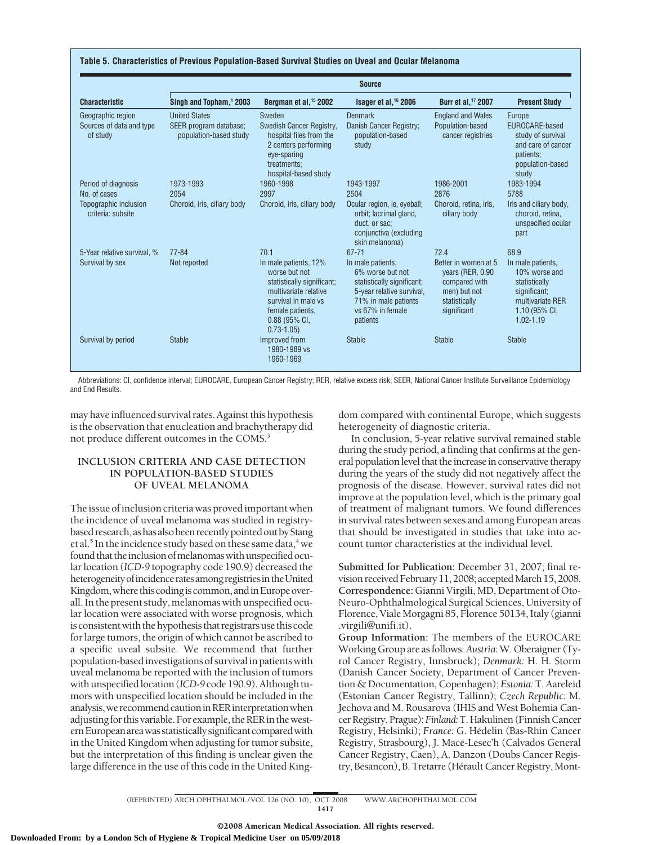| Table 5. Characteristics of Previous Population-Based Survival Studies on Uveal and Ocular Melanoma |  |
|-----------------------------------------------------------------------------------------------------|--|
|-----------------------------------------------------------------------------------------------------|--|

|                                                           | <b>Source</b>                                                            |                                                                                                                                                                              |                                                                                                                                                          |                                                                                                            |                                                                                                                           |  |
|-----------------------------------------------------------|--------------------------------------------------------------------------|------------------------------------------------------------------------------------------------------------------------------------------------------------------------------|----------------------------------------------------------------------------------------------------------------------------------------------------------|------------------------------------------------------------------------------------------------------------|---------------------------------------------------------------------------------------------------------------------------|--|
| <b>Characteristic</b>                                     | Singh and Topham, <sup>1</sup> 2003                                      | Bergman et al. <sup>15</sup> 2002                                                                                                                                            | Isager et al. <sup>16</sup> 2006                                                                                                                         | Burr et al. <sup>17</sup> 2007                                                                             | <b>Present Study</b>                                                                                                      |  |
| Geographic region<br>Sources of data and type<br>of study | <b>United States</b><br>SEER program database;<br>population-based study | Sweden<br>Swedish Cancer Registry.<br>hospital files from the<br>2 centers performing<br>eye-sparing<br>treatments:                                                          | Denmark<br>Danish Cancer Registry;<br>population-based<br>study                                                                                          | <b>England and Wales</b><br>Population-based<br>cancer registries                                          | Europe<br>EUROCARE-based<br>study of survival<br>and care of cancer<br>patients;<br>population-based                      |  |
| Period of diagnosis<br>No. of cases                       | 1973-1993<br>2054                                                        | hospital-based study<br>1960-1998<br>2997                                                                                                                                    | 1943-1997<br>2504                                                                                                                                        | 1986-2001<br>2876                                                                                          | study<br>1983-1994<br>5788                                                                                                |  |
| Topographic inclusion<br>criteria: subsite                | Choroid, iris, ciliary body                                              | Choroid, iris, ciliary body                                                                                                                                                  | Ocular region, ie, eyeball;<br>orbit; lacrimal gland,<br>duct. or sac:<br>conjunctiva (excluding<br>skin melanoma)                                       | Choroid, retina, iris,<br>ciliary body                                                                     | Iris and ciliary body,<br>choroid, retina.<br>unspecified ocular<br>part                                                  |  |
| 5-Year relative survival. %                               | $77 - 84$                                                                | 70.1                                                                                                                                                                         | $67 - 71$                                                                                                                                                | 72.4                                                                                                       | 68.9                                                                                                                      |  |
| Survival by sex                                           | Not reported                                                             | In male patients, 12%<br>worse but not<br>statistically significant;<br>multivariate relative<br>survival in male vs<br>female patients.<br>$0.88$ (95% CI,<br>$0.73 - 1.05$ | In male patients,<br>6% worse but not<br>statistically significant;<br>5-year relative survival,<br>71% in male patients<br>vs 67% in female<br>patients | Better in women at 5<br>years (RER, 0.90)<br>compared with<br>men) but not<br>statistically<br>significant | In male patients,<br>10% worse and<br>statistically<br>significant;<br>multivariate RER<br>1.10 (95% CI,<br>$1.02 - 1.19$ |  |
| Survival by period                                        | <b>Stable</b>                                                            | Improved from<br>1980-1989 vs<br>1960-1969                                                                                                                                   | <b>Stable</b>                                                                                                                                            | <b>Stable</b>                                                                                              | <b>Stable</b>                                                                                                             |  |

Abbreviations: CI, confidence interval; EUROCARE, European Cancer Registry; RER, relative excess risk; SEER, National Cancer Institute Surveillance Epidemiology and End Results.

may have influenced survival rates. Against this hypothesis is the observation that enucleation and brachytherapy did not produce different outcomes in the COMS.3

# **INCLUSION CRITERIA AND CASE DETECTION IN POPULATION-BASED STUDIES OF UVEAL MELANOMA**

The issue of inclusion criteria was proved important when the incidence of uveal melanoma was studied in registrybased research, as has also been recently pointed out by Stang et al.<sup>5</sup> In the incidence study based on these same data,<sup>4</sup> we found that the inclusion of melanomas with unspecified ocular location (*ICD-9* topography code 190.9) decreased the heterogeneityofincidenceratesamongregistriesintheUnited Kingdom, where this coding is common, and in Europe overall. In the present study, melanomas with unspecified ocular location were associated with worse prognosis, which is consistent with the hypothesis that registrars use this code for large tumors, the origin of which cannot be ascribed to a specific uveal subsite. We recommend that further population-based investigations of survival in patients with uveal melanoma be reported with the inclusion of tumors with unspecified location (*ICD-9* code 190.9). Although tumors with unspecified location should be included in the analysis, we recommend caution in RER interpretation when adjusting for this variable. For example, the RER in the western European area was statistically significant compared with in the United Kingdom when adjusting for tumor subsite, but the interpretation of this finding is unclear given the large difference in the use of this code in the United Kingdom compared with continental Europe, which suggests heterogeneity of diagnostic criteria.

In conclusion, 5-year relative survival remained stable during the study period, a finding that confirms at the general population level that the increase in conservative therapy during the years of the study did not negatively affect the prognosis of the disease. However, survival rates did not improve at the population level, which is the primary goal of treatment of malignant tumors. We found differences in survival rates between sexes and among European areas that should be investigated in studies that take into account tumor characteristics at the individual level.

**Submitted for Publication:** December 31, 2007; final revision received February 11, 2008; accepted March 15, 2008. **Correspondence:** Gianni Virgili, MD, Department of Oto-Neuro-Ophthalmological Surgical Sciences, University of Florence, Viale Morgagni 85, Florence 50134, Italy (gianni .virgili@unifi.it).

**Group Information:** The members of the EUROCARE Working Group are as follows:*Austria:*W. Oberaigner (Tyrol Cancer Registry, Innsbruck); *Denmark:* H. H. Storm (Danish Cancer Society, Department of Cancer Prevention & Documentation, Copenhagen); *Estonia:* T. Aareleid (Estonian Cancer Registry, Tallinn); *Czech Republic:* M. Jechova and M. Rousarova (IHIS and West Bohemia CancerRegistry,Prague);*Finland:*T.Hakulinen(FinnishCancer Registry, Helsinki); *France: G. Hédelin (Bas-Rhin Cancer*) Registry, Strasbourg), J. Macé-Lesec'h (Calvados General Cancer Registry, Caen), A. Danzon (Doubs Cancer Registry, Besancon), B. Tretarre (Hérault Cancer Registry, Mont